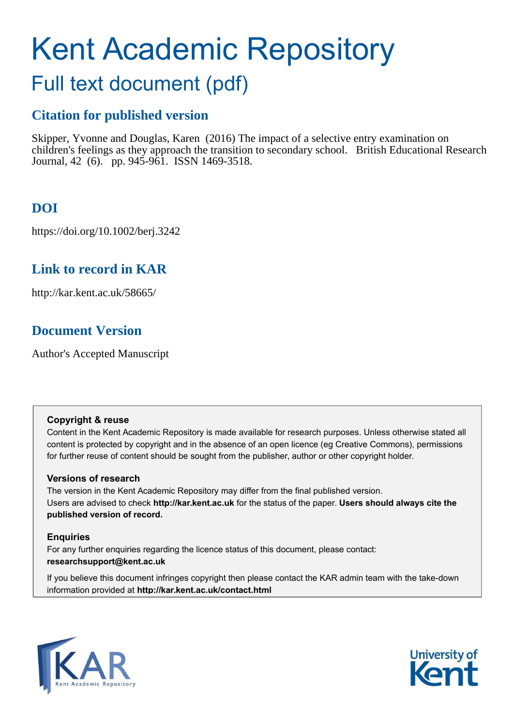# Kent Academic Repository

## Full text document (pdf)

## **Citation for published version**

Skipper, Yvonne and Douglas, Karen (2016) The impact of a selective entry examination on children's feelings as they approach the transition to secondary school. British Educational Research Journal, 42 (6). pp. 945-961. ISSN 1469-3518.

## **DOI**

https://doi.org/10.1002/berj.3242

## **Link to record in KAR**

http://kar.kent.ac.uk/58665/

## **Document Version**

Author's Accepted Manuscript

#### **Copyright & reuse**

Content in the Kent Academic Repository is made available for research purposes. Unless otherwise stated all content is protected by copyright and in the absence of an open licence (eg Creative Commons), permissions for further reuse of content should be sought from the publisher, author or other copyright holder.

#### **Versions of research**

The version in the Kent Academic Repository may differ from the final published version. Users are advised to check **http://kar.kent.ac.uk** for the status of the paper. **Users should always cite the published version of record.**

#### **Enquiries**

For any further enquiries regarding the licence status of this document, please contact: **researchsupport@kent.ac.uk**

If you believe this document infringes copyright then please contact the KAR admin team with the take-down information provided at **http://kar.kent.ac.uk/contact.html**



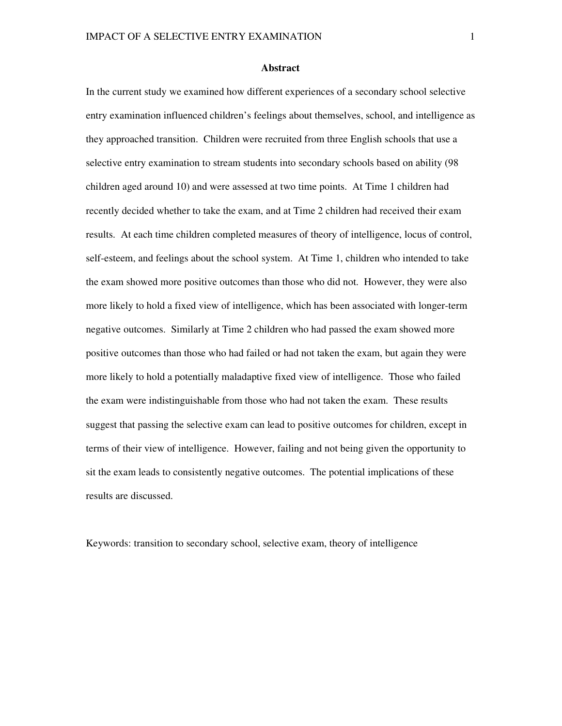#### **Abstract**

In the current study we examined how different experiences of a secondary school selective entry examination influenced children's feelings about themselves, school, and intelligence as they approached transition. Children were recruited from three English schools that use a selective entry examination to stream students into secondary schools based on ability (98 children aged around 10) and were assessed at two time points. At Time 1 children had recently decided whether to take the exam, and at Time 2 children had received their exam results. At each time children completed measures of theory of intelligence, locus of control, self-esteem, and feelings about the school system. At Time 1, children who intended to take the exam showed more positive outcomes than those who did not. However, they were also more likely to hold a fixed view of intelligence, which has been associated with longer-term negative outcomes. Similarly at Time 2 children who had passed the exam showed more positive outcomes than those who had failed or had not taken the exam, but again they were more likely to hold a potentially maladaptive fixed view of intelligence. Those who failed the exam were indistinguishable from those who had not taken the exam. These results suggest that passing the selective exam can lead to positive outcomes for children, except in terms of their view of intelligence. However, failing and not being given the opportunity to sit the exam leads to consistently negative outcomes. The potential implications of these results are discussed.

Keywords: transition to secondary school, selective exam, theory of intelligence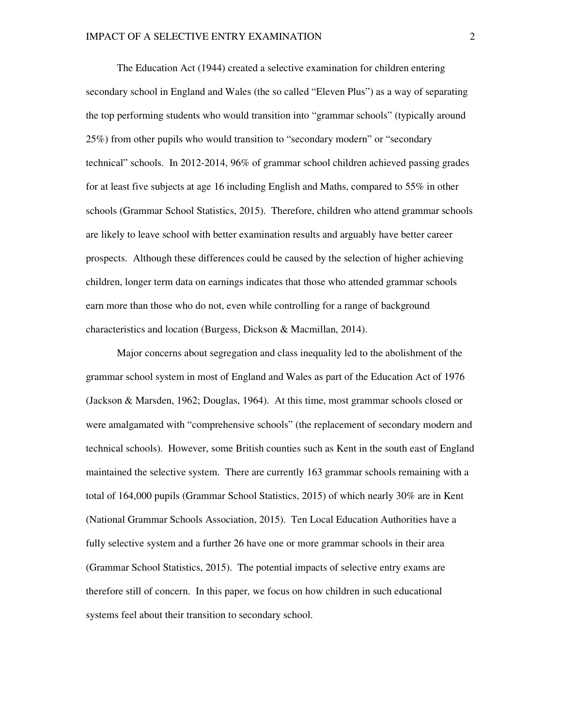The Education Act (1944) created a selective examination for children entering secondary school in England and Wales (the so called "Eleven Plus") as a way of separating the top performing students who would transition into "grammar schools" (typically around 25%) from other pupils who would transition to "secondary modern" or "secondary technical" schools. In 2012-2014, 96% of grammar school children achieved passing grades for at least five subjects at age 16 including English and Maths, compared to 55% in other schools (Grammar School Statistics, 2015). Therefore, children who attend grammar schools are likely to leave school with better examination results and arguably have better career prospects. Although these differences could be caused by the selection of higher achieving children, longer term data on earnings indicates that those who attended grammar schools earn more than those who do not, even while controlling for a range of background characteristics and location (Burgess, Dickson & Macmillan, 2014).

Major concerns about segregation and class inequality led to the abolishment of the grammar school system in most of England and Wales as part of the Education Act of 1976 (Jackson & Marsden, 1962; Douglas, 1964). At this time, most grammar schools closed or were amalgamated with "comprehensive schools" (the replacement of secondary modern and technical schools). However, some British counties such as Kent in the south east of England maintained the selective system. There are currently 163 grammar schools remaining with a total of 164,000 pupils (Grammar School Statistics, 2015) of which nearly 30% are in Kent (National Grammar Schools Association, 2015). Ten Local Education Authorities have a fully selective system and a further 26 have one or more grammar schools in their area (Grammar School Statistics, 2015). The potential impacts of selective entry exams are therefore still of concern. In this paper, we focus on how children in such educational systems feel about their transition to secondary school.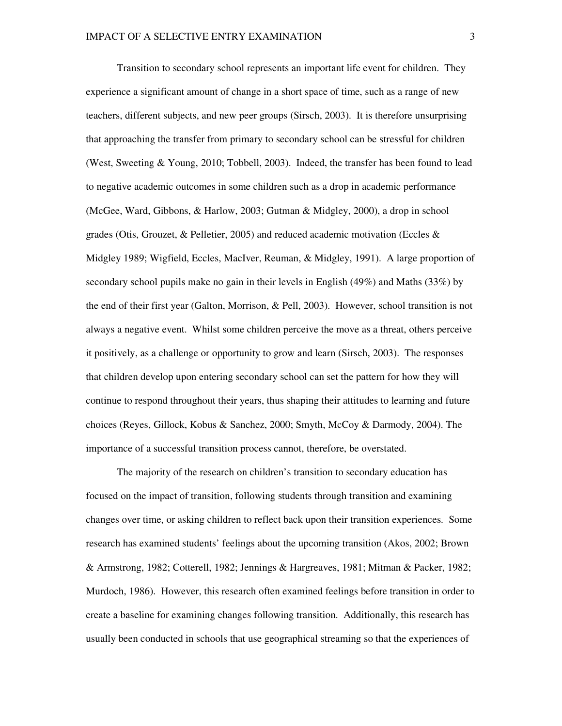Transition to secondary school represents an important life event for children. They experience a significant amount of change in a short space of time, such as a range of new teachers, different subjects, and new peer groups (Sirsch, 2003). It is therefore unsurprising that approaching the transfer from primary to secondary school can be stressful for children (West, Sweeting & Young, 2010; Tobbell, 2003). Indeed, the transfer has been found to lead to negative academic outcomes in some children such as a drop in academic performance (McGee, Ward, Gibbons, & Harlow, 2003; Gutman & Midgley, 2000), a drop in school grades (Otis, Grouzet, & Pelletier, 2005) and reduced academic motivation (Eccles & Midgley 1989; Wigfield, Eccles, MacIver, Reuman, & Midgley, 1991). A large proportion of secondary school pupils make no gain in their levels in English (49%) and Maths (33%) by the end of their first year (Galton, Morrison, & Pell, 2003). However, school transition is not always a negative event. Whilst some children perceive the move as a threat, others perceive it positively, as a challenge or opportunity to grow and learn (Sirsch, 2003). The responses that children develop upon entering secondary school can set the pattern for how they will continue to respond throughout their years, thus shaping their attitudes to learning and future choices (Reyes, Gillock, Kobus & Sanchez, 2000; Smyth, McCoy & Darmody, 2004). The importance of a successful transition process cannot, therefore, be overstated.

The majority of the research on children's transition to secondary education has focused on the impact of transition, following students through transition and examining changes over time, or asking children to reflect back upon their transition experiences. Some research has examined students' feelings about the upcoming transition (Akos, 2002; Brown & Armstrong, 1982; Cotterell, 1982; Jennings & Hargreaves, 1981; Mitman & Packer, 1982; Murdoch, 1986). However, this research often examined feelings before transition in order to create a baseline for examining changes following transition. Additionally, this research has usually been conducted in schools that use geographical streaming so that the experiences of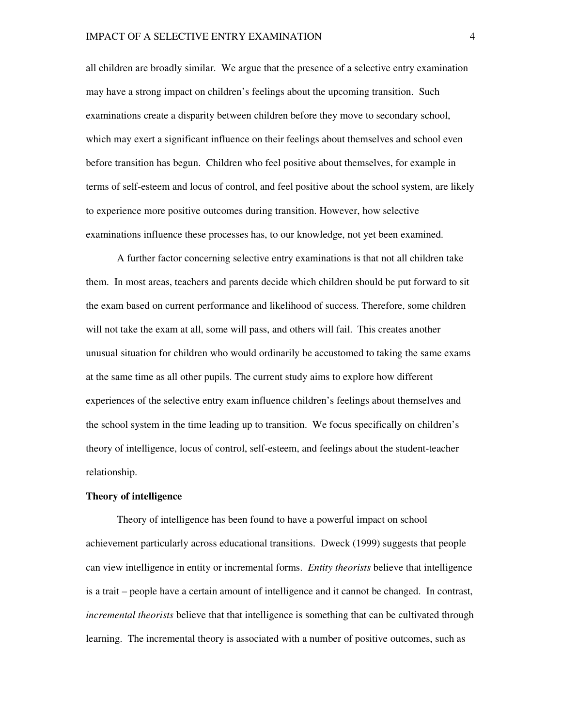all children are broadly similar. We argue that the presence of a selective entry examination may have a strong impact on children's feelings about the upcoming transition. Such examinations create a disparity between children before they move to secondary school, which may exert a significant influence on their feelings about themselves and school even before transition has begun. Children who feel positive about themselves, for example in terms of self-esteem and locus of control, and feel positive about the school system, are likely to experience more positive outcomes during transition. However, how selective examinations influence these processes has, to our knowledge, not yet been examined.

A further factor concerning selective entry examinations is that not all children take them. In most areas, teachers and parents decide which children should be put forward to sit the exam based on current performance and likelihood of success. Therefore, some children will not take the exam at all, some will pass, and others will fail. This creates another unusual situation for children who would ordinarily be accustomed to taking the same exams at the same time as all other pupils. The current study aims to explore how different experiences of the selective entry exam influence children's feelings about themselves and the school system in the time leading up to transition. We focus specifically on children's theory of intelligence, locus of control, self-esteem, and feelings about the student-teacher relationship.

#### **Theory of intelligence**

Theory of intelligence has been found to have a powerful impact on school achievement particularly across educational transitions. Dweck (1999) suggests that people can view intelligence in entity or incremental forms. *Entity theorists* believe that intelligence is a trait – people have a certain amount of intelligence and it cannot be changed. In contrast, *incremental theorists* believe that that intelligence is something that can be cultivated through learning. The incremental theory is associated with a number of positive outcomes, such as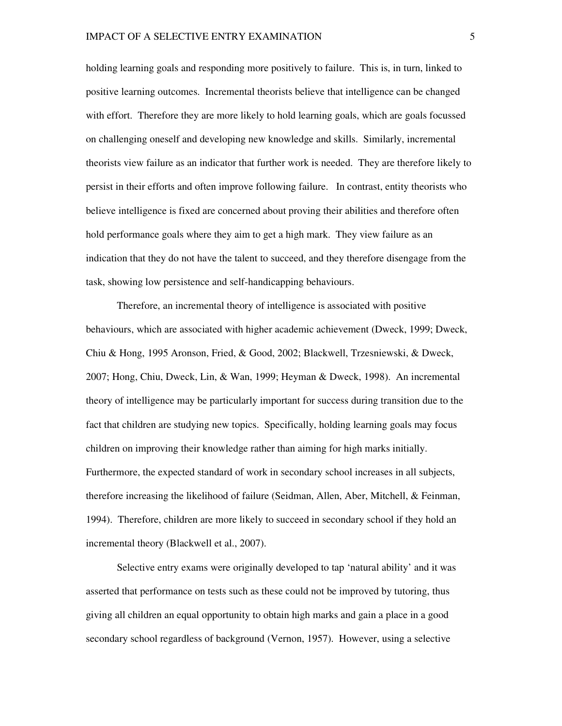holding learning goals and responding more positively to failure. This is, in turn, linked to positive learning outcomes. Incremental theorists believe that intelligence can be changed with effort. Therefore they are more likely to hold learning goals, which are goals focussed on challenging oneself and developing new knowledge and skills. Similarly, incremental theorists view failure as an indicator that further work is needed. They are therefore likely to persist in their efforts and often improve following failure. In contrast, entity theorists who believe intelligence is fixed are concerned about proving their abilities and therefore often hold performance goals where they aim to get a high mark. They view failure as an indication that they do not have the talent to succeed, and they therefore disengage from the task, showing low persistence and self-handicapping behaviours.

Therefore, an incremental theory of intelligence is associated with positive behaviours, which are associated with higher academic achievement (Dweck, 1999; Dweck, Chiu & Hong, 1995 Aronson, Fried, & Good, 2002; Blackwell, Trzesniewski, & Dweck, 2007; Hong, Chiu, Dweck, Lin, & Wan, 1999; Heyman & Dweck, 1998). An incremental theory of intelligence may be particularly important for success during transition due to the fact that children are studying new topics. Specifically, holding learning goals may focus children on improving their knowledge rather than aiming for high marks initially. Furthermore, the expected standard of work in secondary school increases in all subjects, therefore increasing the likelihood of failure (Seidman, Allen, Aber, Mitchell, & Feinman, 1994). Therefore, children are more likely to succeed in secondary school if they hold an incremental theory (Blackwell et al., 2007).

Selective entry exams were originally developed to tap 'natural ability' and it was asserted that performance on tests such as these could not be improved by tutoring, thus giving all children an equal opportunity to obtain high marks and gain a place in a good secondary school regardless of background (Vernon, 1957). However, using a selective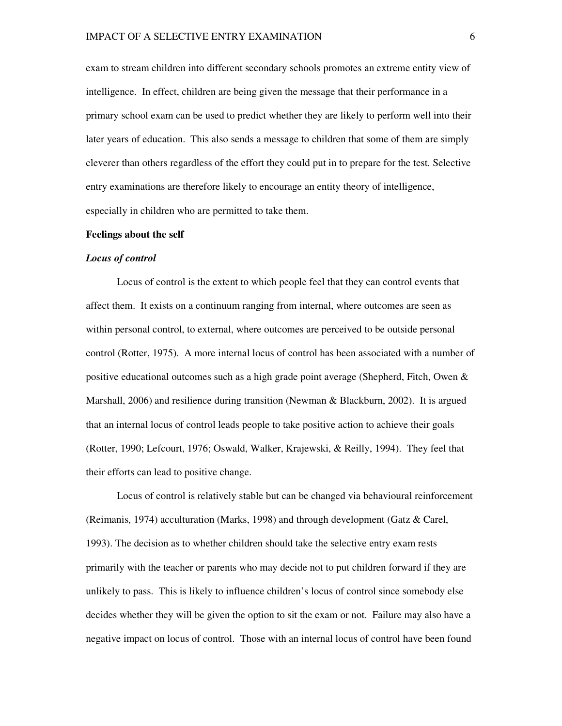exam to stream children into different secondary schools promotes an extreme entity view of intelligence. In effect, children are being given the message that their performance in a primary school exam can be used to predict whether they are likely to perform well into their later years of education. This also sends a message to children that some of them are simply cleverer than others regardless of the effort they could put in to prepare for the test. Selective entry examinations are therefore likely to encourage an entity theory of intelligence, especially in children who are permitted to take them.

#### **Feelings about the self**

#### *Locus of control*

Locus of control is the extent to which people feel that they can control events that affect them. It exists on a continuum ranging from internal, where outcomes are seen as within personal control, to external, where outcomes are perceived to be outside personal control (Rotter, 1975). A more internal locus of control has been associated with a number of positive educational outcomes such as a high grade point average (Shepherd, Fitch, Owen & Marshall, 2006) and resilience during transition (Newman & Blackburn, 2002). It is argued that an internal locus of control leads people to take positive action to achieve their goals (Rotter, 1990; Lefcourt, 1976; Oswald, Walker, Krajewski, & Reilly, 1994). They feel that their efforts can lead to positive change.

Locus of control is relatively stable but can be changed via behavioural reinforcement (Reimanis, 1974) acculturation (Marks, 1998) and through development (Gatz & Carel, 1993). The decision as to whether children should take the selective entry exam rests primarily with the teacher or parents who may decide not to put children forward if they are unlikely to pass. This is likely to influence children's locus of control since somebody else decides whether they will be given the option to sit the exam or not. Failure may also have a negative impact on locus of control. Those with an internal locus of control have been found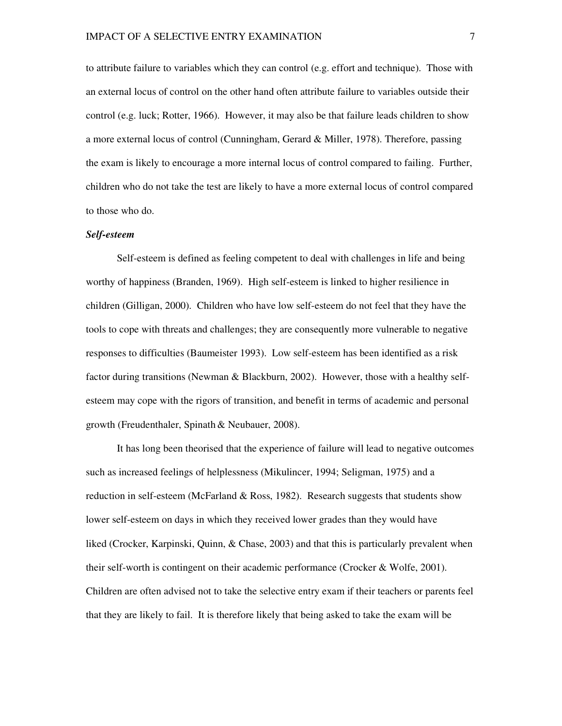to attribute failure to variables which they can control (e.g. effort and technique). Those with an external locus of control on the other hand often attribute failure to variables outside their control (e.g. luck; Rotter, 1966). However, it may also be that failure leads children to show a more external locus of control (Cunningham, Gerard & Miller, 1978). Therefore, passing the exam is likely to encourage a more internal locus of control compared to failing. Further, children who do not take the test are likely to have a more external locus of control compared to those who do.

#### *Self-esteem*

Self-esteem is defined as feeling competent to deal with challenges in life and being worthy of happiness (Branden, 1969). High self-esteem is linked to higher resilience in children (Gilligan, 2000). Children who have low self-esteem do not feel that they have the tools to cope with threats and challenges; they are consequently more vulnerable to negative responses to difficulties (Baumeister 1993). Low self-esteem has been identified as a risk factor during transitions (Newman & Blackburn, 2002). However, those with a healthy selfesteem may cope with the rigors of transition, and benefit in terms of academic and personal growth (Freudenthaler, Spinath & Neubauer, 2008).

It has long been theorised that the experience of failure will lead to negative outcomes such as increased feelings of helplessness (Mikulincer, 1994; Seligman, 1975) and a reduction in self-esteem (McFarland  $\&$  Ross, 1982). Research suggests that students show lower self-esteem on days in which they received lower grades than they would have liked (Crocker, Karpinski, Quinn, & Chase, 2003) and that this is particularly prevalent when their self-worth is contingent on their academic performance (Crocker & Wolfe, 2001). Children are often advised not to take the selective entry exam if their teachers or parents feel that they are likely to fail. It is therefore likely that being asked to take the exam will be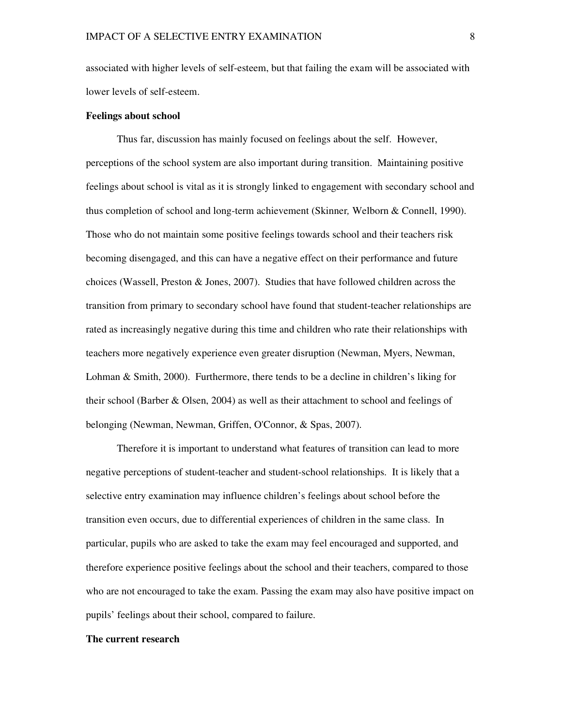associated with higher levels of self-esteem, but that failing the exam will be associated with lower levels of self-esteem.

#### **Feelings about school**

Thus far, discussion has mainly focused on feelings about the self. However, perceptions of the school system are also important during transition. Maintaining positive feelings about school is vital as it is strongly linked to engagement with secondary school and thus completion of school and long-term achievement (Skinner*,* Welborn & Connell, 1990). Those who do not maintain some positive feelings towards school and their teachers risk becoming disengaged, and this can have a negative effect on their performance and future choices (Wassell, Preston & Jones, 2007). Studies that have followed children across the transition from primary to secondary school have found that student-teacher relationships are rated as increasingly negative during this time and children who rate their relationships with teachers more negatively experience even greater disruption (Newman, Myers, Newman, Lohman & Smith, 2000). Furthermore, there tends to be a decline in children's liking for their school (Barber & Olsen, 2004) as well as their attachment to school and feelings of belonging (Newman, Newman, Griffen, O'Connor, & Spas, 2007).

Therefore it is important to understand what features of transition can lead to more negative perceptions of student-teacher and student-school relationships. It is likely that a selective entry examination may influence children's feelings about school before the transition even occurs, due to differential experiences of children in the same class. In particular, pupils who are asked to take the exam may feel encouraged and supported, and therefore experience positive feelings about the school and their teachers, compared to those who are not encouraged to take the exam. Passing the exam may also have positive impact on pupils' feelings about their school, compared to failure.

#### **The current research**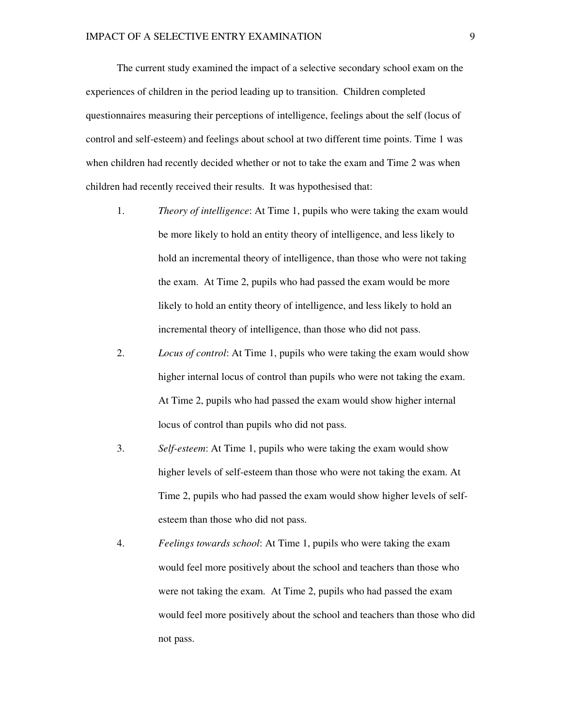The current study examined the impact of a selective secondary school exam on the experiences of children in the period leading up to transition. Children completed questionnaires measuring their perceptions of intelligence, feelings about the self (locus of control and self-esteem) and feelings about school at two different time points. Time 1 was when children had recently decided whether or not to take the exam and Time 2 was when children had recently received their results. It was hypothesised that:

- 1. *Theory of intelligence*: At Time 1, pupils who were taking the exam would be more likely to hold an entity theory of intelligence, and less likely to hold an incremental theory of intelligence, than those who were not taking the exam. At Time 2, pupils who had passed the exam would be more likely to hold an entity theory of intelligence, and less likely to hold an incremental theory of intelligence, than those who did not pass.
- 2. *Locus of control*: At Time 1, pupils who were taking the exam would show higher internal locus of control than pupils who were not taking the exam. At Time 2, pupils who had passed the exam would show higher internal locus of control than pupils who did not pass.
- 3. *Self-esteem*: At Time 1, pupils who were taking the exam would show higher levels of self-esteem than those who were not taking the exam. At Time 2, pupils who had passed the exam would show higher levels of selfesteem than those who did not pass.
- 4. *Feelings towards school*: At Time 1, pupils who were taking the exam would feel more positively about the school and teachers than those who were not taking the exam. At Time 2, pupils who had passed the exam would feel more positively about the school and teachers than those who did not pass.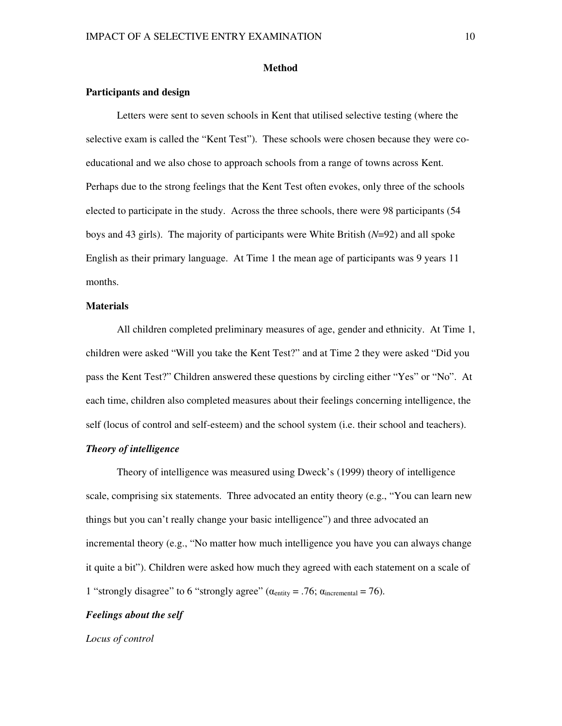#### **Method**

#### **Participants and design**

Letters were sent to seven schools in Kent that utilised selective testing (where the selective exam is called the "Kent Test"). These schools were chosen because they were coeducational and we also chose to approach schools from a range of towns across Kent. Perhaps due to the strong feelings that the Kent Test often evokes, only three of the schools elected to participate in the study. Across the three schools, there were 98 participants (54 boys and 43 girls). The majority of participants were White British (*N*=92) and all spoke English as their primary language. At Time 1 the mean age of participants was 9 years 11 months.

#### **Materials**

All children completed preliminary measures of age, gender and ethnicity. At Time 1, children were asked "Will you take the Kent Test?" and at Time 2 they were asked "Did you pass the Kent Test?" Children answered these questions by circling either "Yes" or "No". At each time, children also completed measures about their feelings concerning intelligence, the self (locus of control and self-esteem) and the school system (i.e. their school and teachers).

#### *Theory of intelligence*

Theory of intelligence was measured using Dweck's (1999) theory of intelligence scale, comprising six statements. Three advocated an entity theory (e.g., "You can learn new things but you can't really change your basic intelligence") and three advocated an incremental theory (e.g., "No matter how much intelligence you have you can always change it quite a bit"). Children were asked how much they agreed with each statement on a scale of 1 "strongly disagree" to 6 "strongly agree" ( $\alpha_{\text{entity}} = .76$ ;  $\alpha_{\text{incremental}} = 76$ ).

#### *Feelings about the self*

*Locus of control*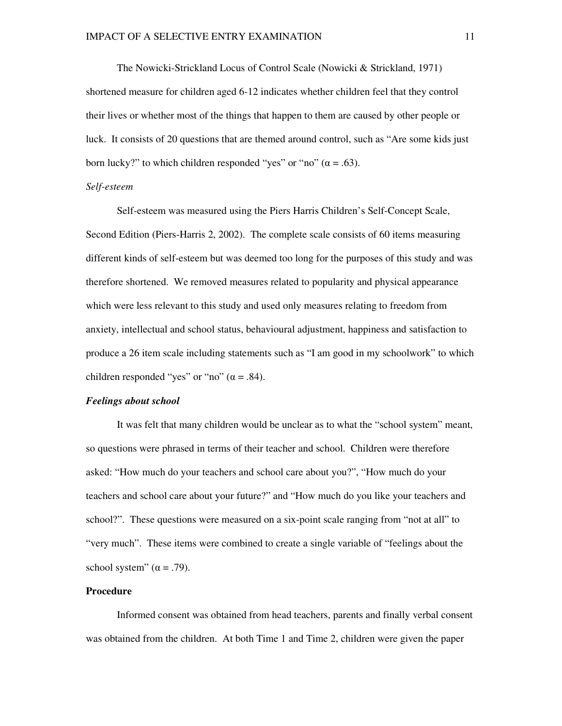The Nowicki-Strickland Locus of Control Scale (Nowicki & Strickland, 1971) shortened measure for children aged 6-12 indicates whether children feel that they control their lives or whether most of the things that happen to them are caused by other people or luck. It consists of 20 questions that are themed around control, such as "Are some kids just born lucky?" to which children responded "yes" or "no" ( $\alpha = .63$ ).

#### *Self-esteem*

Self-esteem was measured using the Piers Harris Children's Self-Concept Scale, Second Edition (Piers-Harris 2, 2002). The complete scale consists of 60 items measuring different kinds of self-esteem but was deemed too long for the purposes of this study and was therefore shortened. We removed measures related to popularity and physical appearance which were less relevant to this study and used only measures relating to freedom from anxiety, intellectual and school status, behavioural adjustment, happiness and satisfaction to produce a 26 item scale including statements such as "I am good in my schoolwork" to which children responded "yes" or "no"  $(\alpha = .84)$ .

#### *Feelings about school*

It was felt that many children would be unclear as to what the "school system" meant, so questions were phrased in terms of their teacher and school. Children were therefore asked: "How much do your teachers and school care about you?", "How much do your teachers and school care about your future?" and "How much do you like your teachers and school?". These questions were measured on a six-point scale ranging from "not at all" to "very much". These items were combined to create a single variable of "feelings about the school system"  $(\alpha = .79)$ .

#### **Procedure**

Informed consent was obtained from head teachers, parents and finally verbal consent was obtained from the children. At both Time 1 and Time 2, children were given the paper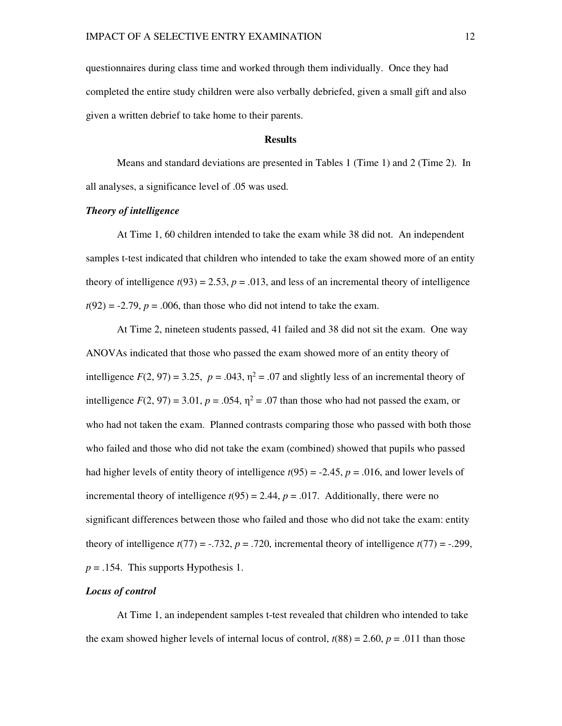questionnaires during class time and worked through them individually. Once they had completed the entire study children were also verbally debriefed, given a small gift and also given a written debrief to take home to their parents.

#### **Results**

Means and standard deviations are presented in Tables 1 (Time 1) and 2 (Time 2). In all analyses, a significance level of .05 was used.

#### *Theory of intelligence*

 At Time 1, 60 children intended to take the exam while 38 did not. An independent samples t-test indicated that children who intended to take the exam showed more of an entity theory of intelligence  $t(93) = 2.53$ ,  $p = .013$ , and less of an incremental theory of intelligence  $t(92) = -2.79$ ,  $p = .006$ , than those who did not intend to take the exam.

At Time 2, nineteen students passed, 41 failed and 38 did not sit the exam. One way ANOVAs indicated that those who passed the exam showed more of an entity theory of intelligence  $F(2, 97) = 3.25$ ,  $p = .043$ ,  $\eta^2 = .07$  and slightly less of an incremental theory of intelligence  $F(2, 97) = 3.01$ ,  $p = .054$ ,  $\eta^2 = .07$  than those who had not passed the exam, or who had not taken the exam. Planned contrasts comparing those who passed with both those who failed and those who did not take the exam (combined) showed that pupils who passed had higher levels of entity theory of intelligence  $t(95) = -2.45$ ,  $p = .016$ , and lower levels of incremental theory of intelligence  $t(95) = 2.44$ ,  $p = .017$ . Additionally, there were no significant differences between those who failed and those who did not take the exam: entity theory of intelligence  $t(77) = -0.732$ ,  $p = 0.720$ , incremental theory of intelligence  $t(77) = -0.299$ , *p* = .154. This supports Hypothesis 1.

#### *Locus of control*

At Time 1, an independent samples t-test revealed that children who intended to take the exam showed higher levels of internal locus of control,  $t(88) = 2.60$ ,  $p = .011$  than those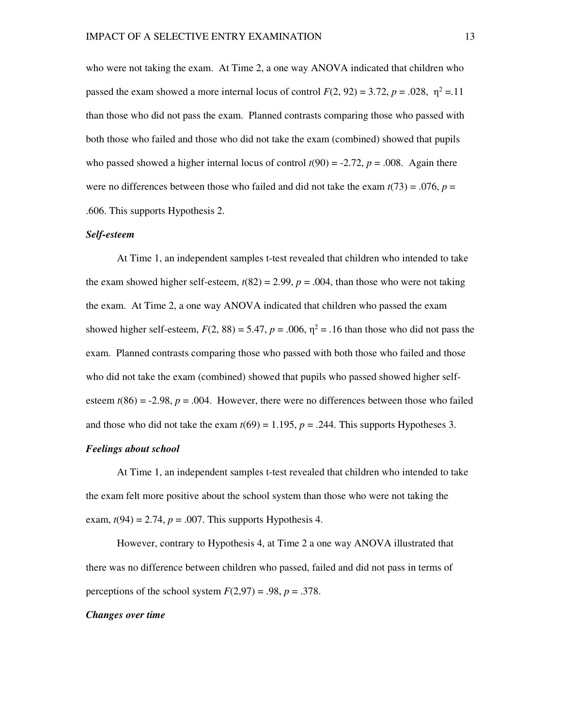who were not taking the exam. At Time 2, a one way ANOVA indicated that children who passed the exam showed a more internal locus of control  $F(2, 92) = 3.72$ ,  $p = .028$ ,  $\eta^2 = .11$ than those who did not pass the exam. Planned contrasts comparing those who passed with both those who failed and those who did not take the exam (combined) showed that pupils who passed showed a higher internal locus of control  $t(90) = -2.72$ ,  $p = .008$ . Again there were no differences between those who failed and did not take the exam  $t(73) = .076$ ,  $p =$ .606. This supports Hypothesis 2.

#### *Self-esteem*

At Time 1, an independent samples t-test revealed that children who intended to take the exam showed higher self-esteem,  $t(82) = 2.99$ ,  $p = .004$ , than those who were not taking the exam. At Time 2, a one way ANOVA indicated that children who passed the exam showed higher self-esteem,  $F(2, 88) = 5.47$ ,  $p = .006$ ,  $\eta^2 = .16$  than those who did not pass the exam. Planned contrasts comparing those who passed with both those who failed and those who did not take the exam (combined) showed that pupils who passed showed higher selfesteem  $t(86) = -2.98$ ,  $p = .004$ . However, there were no differences between those who failed and those who did not take the exam  $t(69) = 1.195$ ,  $p = .244$ . This supports Hypotheses 3.

#### *Feelings about school*

At Time 1, an independent samples t-test revealed that children who intended to take the exam felt more positive about the school system than those who were not taking the exam,  $t(94) = 2.74$ ,  $p = .007$ . This supports Hypothesis 4.

However, contrary to Hypothesis 4, at Time 2 a one way ANOVA illustrated that there was no difference between children who passed, failed and did not pass in terms of perceptions of the school system  $F(2,97) = .98$ ,  $p = .378$ .

#### *Changes over time*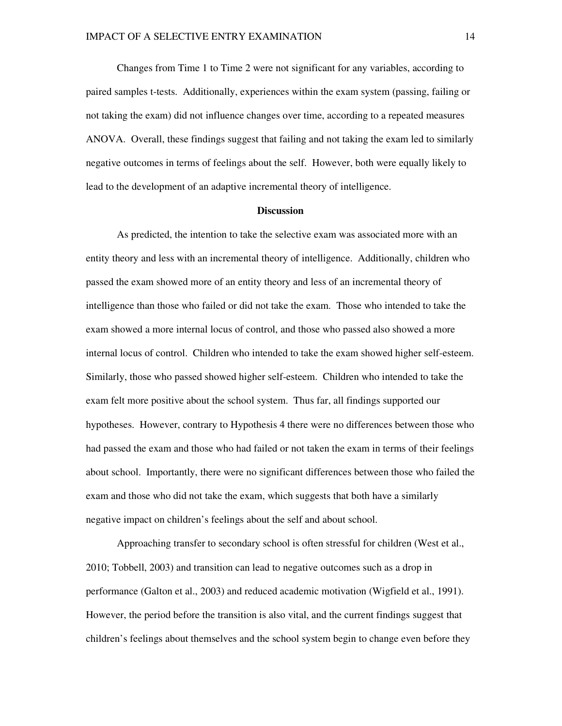Changes from Time 1 to Time 2 were not significant for any variables, according to paired samples t-tests. Additionally, experiences within the exam system (passing, failing or not taking the exam) did not influence changes over time, according to a repeated measures ANOVA. Overall, these findings suggest that failing and not taking the exam led to similarly negative outcomes in terms of feelings about the self. However, both were equally likely to lead to the development of an adaptive incremental theory of intelligence.

#### **Discussion**

As predicted, the intention to take the selective exam was associated more with an entity theory and less with an incremental theory of intelligence. Additionally, children who passed the exam showed more of an entity theory and less of an incremental theory of intelligence than those who failed or did not take the exam. Those who intended to take the exam showed a more internal locus of control, and those who passed also showed a more internal locus of control. Children who intended to take the exam showed higher self-esteem. Similarly, those who passed showed higher self-esteem. Children who intended to take the exam felt more positive about the school system. Thus far, all findings supported our hypotheses. However, contrary to Hypothesis 4 there were no differences between those who had passed the exam and those who had failed or not taken the exam in terms of their feelings about school. Importantly, there were no significant differences between those who failed the exam and those who did not take the exam, which suggests that both have a similarly negative impact on children's feelings about the self and about school.

Approaching transfer to secondary school is often stressful for children (West et al., 2010; Tobbell, 2003) and transition can lead to negative outcomes such as a drop in performance (Galton et al., 2003) and reduced academic motivation (Wigfield et al., 1991). However, the period before the transition is also vital, and the current findings suggest that children's feelings about themselves and the school system begin to change even before they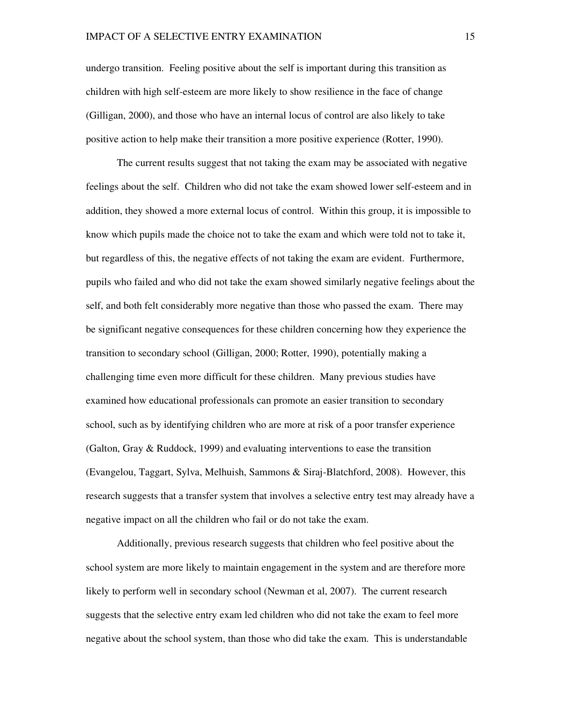undergo transition. Feeling positive about the self is important during this transition as children with high self-esteem are more likely to show resilience in the face of change (Gilligan, 2000), and those who have an internal locus of control are also likely to take positive action to help make their transition a more positive experience (Rotter, 1990).

The current results suggest that not taking the exam may be associated with negative feelings about the self. Children who did not take the exam showed lower self-esteem and in addition, they showed a more external locus of control. Within this group, it is impossible to know which pupils made the choice not to take the exam and which were told not to take it, but regardless of this, the negative effects of not taking the exam are evident. Furthermore, pupils who failed and who did not take the exam showed similarly negative feelings about the self, and both felt considerably more negative than those who passed the exam. There may be significant negative consequences for these children concerning how they experience the transition to secondary school (Gilligan, 2000; Rotter, 1990), potentially making a challenging time even more difficult for these children. Many previous studies have examined how educational professionals can promote an easier transition to secondary school, such as by identifying children who are more at risk of a poor transfer experience (Galton, Gray & Ruddock, 1999) and evaluating interventions to ease the transition (Evangelou, Taggart, Sylva, Melhuish, Sammons & Siraj-Blatchford, 2008). However, this research suggests that a transfer system that involves a selective entry test may already have a negative impact on all the children who fail or do not take the exam.

Additionally, previous research suggests that children who feel positive about the school system are more likely to maintain engagement in the system and are therefore more likely to perform well in secondary school (Newman et al, 2007). The current research suggests that the selective entry exam led children who did not take the exam to feel more negative about the school system, than those who did take the exam. This is understandable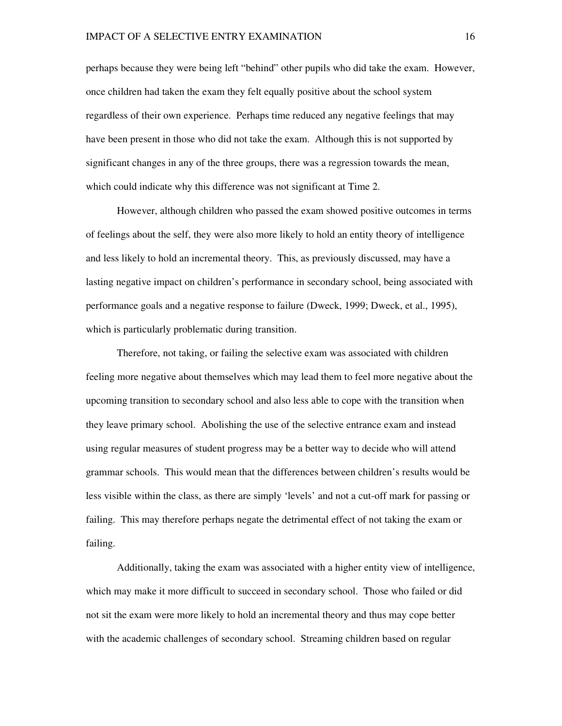perhaps because they were being left "behind" other pupils who did take the exam. However, once children had taken the exam they felt equally positive about the school system regardless of their own experience. Perhaps time reduced any negative feelings that may have been present in those who did not take the exam. Although this is not supported by significant changes in any of the three groups, there was a regression towards the mean, which could indicate why this difference was not significant at Time 2.

However, although children who passed the exam showed positive outcomes in terms of feelings about the self, they were also more likely to hold an entity theory of intelligence and less likely to hold an incremental theory. This, as previously discussed, may have a lasting negative impact on children's performance in secondary school, being associated with performance goals and a negative response to failure (Dweck, 1999; Dweck, et al., 1995), which is particularly problematic during transition.

Therefore, not taking, or failing the selective exam was associated with children feeling more negative about themselves which may lead them to feel more negative about the upcoming transition to secondary school and also less able to cope with the transition when they leave primary school. Abolishing the use of the selective entrance exam and instead using regular measures of student progress may be a better way to decide who will attend grammar schools. This would mean that the differences between children's results would be less visible within the class, as there are simply 'levels' and not a cut-off mark for passing or failing. This may therefore perhaps negate the detrimental effect of not taking the exam or failing.

Additionally, taking the exam was associated with a higher entity view of intelligence, which may make it more difficult to succeed in secondary school. Those who failed or did not sit the exam were more likely to hold an incremental theory and thus may cope better with the academic challenges of secondary school. Streaming children based on regular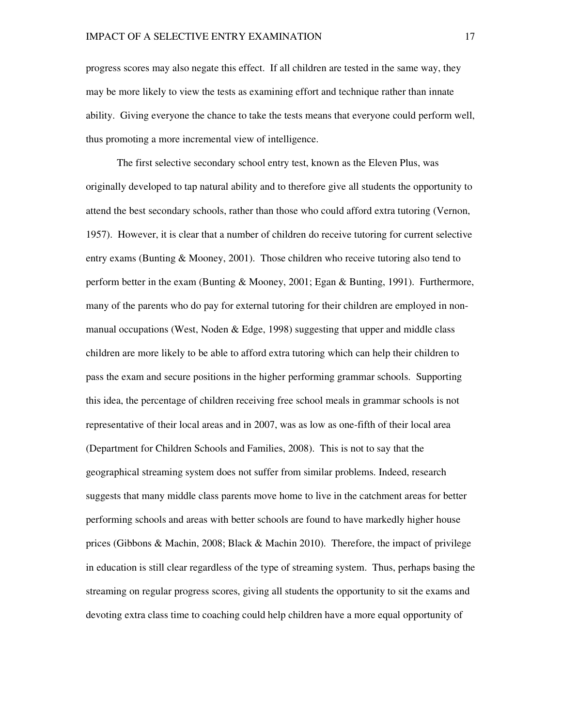progress scores may also negate this effect. If all children are tested in the same way, they may be more likely to view the tests as examining effort and technique rather than innate ability. Giving everyone the chance to take the tests means that everyone could perform well, thus promoting a more incremental view of intelligence.

The first selective secondary school entry test, known as the Eleven Plus, was originally developed to tap natural ability and to therefore give all students the opportunity to attend the best secondary schools, rather than those who could afford extra tutoring (Vernon, 1957). However, it is clear that a number of children do receive tutoring for current selective entry exams (Bunting & Mooney, 2001). Those children who receive tutoring also tend to perform better in the exam (Bunting & Mooney, 2001; Egan & Bunting, 1991). Furthermore, many of the parents who do pay for external tutoring for their children are employed in nonmanual occupations (West, Noden  $& Edge$ , 1998) suggesting that upper and middle class children are more likely to be able to afford extra tutoring which can help their children to pass the exam and secure positions in the higher performing grammar schools. Supporting this idea, the percentage of children receiving free school meals in grammar schools is not representative of their local areas and in 2007, was as low as one-fifth of their local area (Department for Children Schools and Families, 2008). This is not to say that the geographical streaming system does not suffer from similar problems. Indeed, research suggests that many middle class parents move home to live in the catchment areas for better performing schools and areas with better schools are found to have markedly higher house prices (Gibbons & Machin, 2008; Black & Machin 2010). Therefore, the impact of privilege in education is still clear regardless of the type of streaming system. Thus, perhaps basing the streaming on regular progress scores, giving all students the opportunity to sit the exams and devoting extra class time to coaching could help children have a more equal opportunity of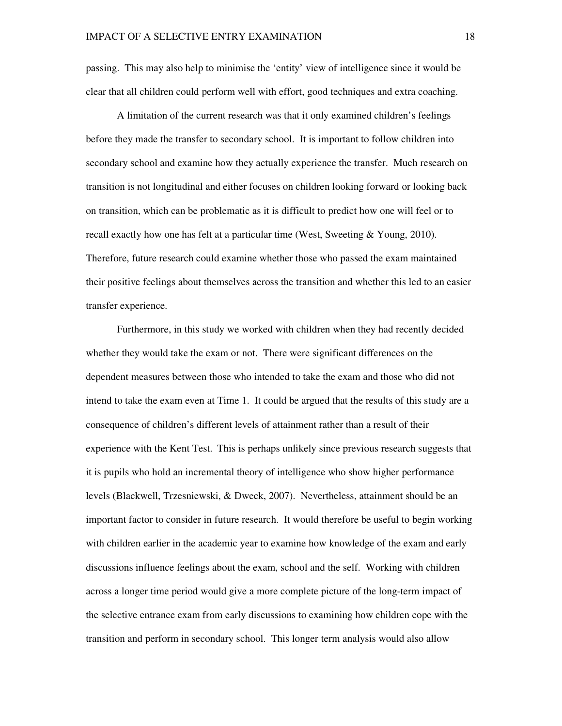passing. This may also help to minimise the 'entity' view of intelligence since it would be clear that all children could perform well with effort, good techniques and extra coaching.

A limitation of the current research was that it only examined children's feelings before they made the transfer to secondary school. It is important to follow children into secondary school and examine how they actually experience the transfer. Much research on transition is not longitudinal and either focuses on children looking forward or looking back on transition, which can be problematic as it is difficult to predict how one will feel or to recall exactly how one has felt at a particular time (West, Sweeting & Young, 2010). Therefore, future research could examine whether those who passed the exam maintained their positive feelings about themselves across the transition and whether this led to an easier transfer experience.

Furthermore, in this study we worked with children when they had recently decided whether they would take the exam or not. There were significant differences on the dependent measures between those who intended to take the exam and those who did not intend to take the exam even at Time 1. It could be argued that the results of this study are a consequence of children's different levels of attainment rather than a result of their experience with the Kent Test. This is perhaps unlikely since previous research suggests that it is pupils who hold an incremental theory of intelligence who show higher performance levels (Blackwell, Trzesniewski, & Dweck, 2007). Nevertheless, attainment should be an important factor to consider in future research. It would therefore be useful to begin working with children earlier in the academic year to examine how knowledge of the exam and early discussions influence feelings about the exam, school and the self. Working with children across a longer time period would give a more complete picture of the long-term impact of the selective entrance exam from early discussions to examining how children cope with the transition and perform in secondary school. This longer term analysis would also allow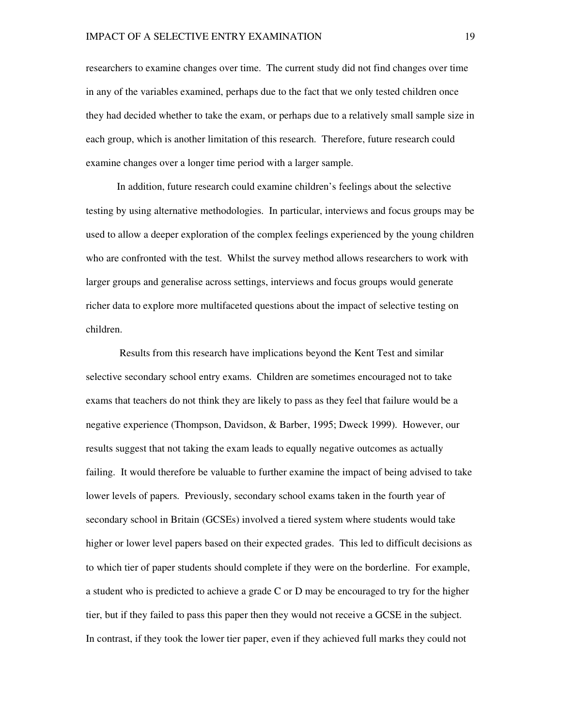researchers to examine changes over time. The current study did not find changes over time in any of the variables examined, perhaps due to the fact that we only tested children once they had decided whether to take the exam, or perhaps due to a relatively small sample size in each group, which is another limitation of this research. Therefore, future research could examine changes over a longer time period with a larger sample.

In addition, future research could examine children's feelings about the selective testing by using alternative methodologies. In particular, interviews and focus groups may be used to allow a deeper exploration of the complex feelings experienced by the young children who are confronted with the test. Whilst the survey method allows researchers to work with larger groups and generalise across settings, interviews and focus groups would generate richer data to explore more multifaceted questions about the impact of selective testing on children.

 Results from this research have implications beyond the Kent Test and similar selective secondary school entry exams. Children are sometimes encouraged not to take exams that teachers do not think they are likely to pass as they feel that failure would be a negative experience (Thompson, Davidson, & Barber, 1995; Dweck 1999). However, our results suggest that not taking the exam leads to equally negative outcomes as actually failing. It would therefore be valuable to further examine the impact of being advised to take lower levels of papers. Previously, secondary school exams taken in the fourth year of secondary school in Britain (GCSEs) involved a tiered system where students would take higher or lower level papers based on their expected grades. This led to difficult decisions as to which tier of paper students should complete if they were on the borderline. For example, a student who is predicted to achieve a grade C or D may be encouraged to try for the higher tier, but if they failed to pass this paper then they would not receive a GCSE in the subject. In contrast, if they took the lower tier paper, even if they achieved full marks they could not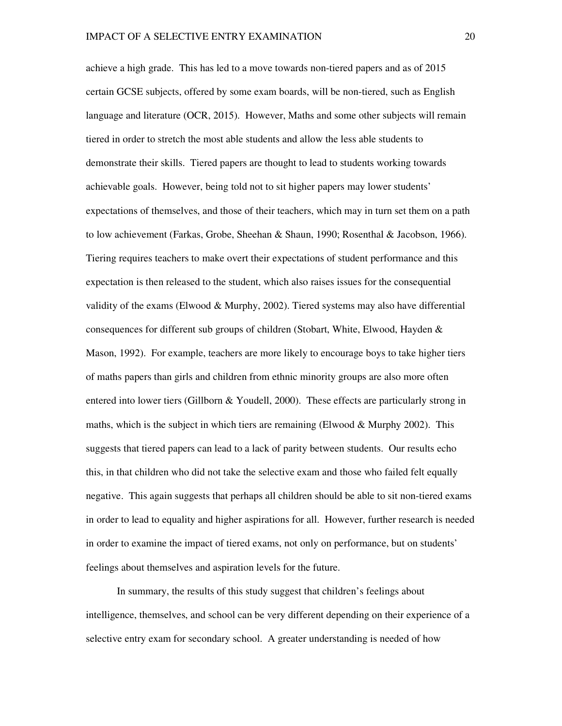achieve a high grade. This has led to a move towards non-tiered papers and as of 2015 certain GCSE subjects, offered by some exam boards, will be non-tiered, such as English language and literature (OCR, 2015). However, Maths and some other subjects will remain tiered in order to stretch the most able students and allow the less able students to demonstrate their skills. Tiered papers are thought to lead to students working towards achievable goals. However, being told not to sit higher papers may lower students' expectations of themselves, and those of their teachers, which may in turn set them on a path to low achievement (Farkas, Grobe, Sheehan & Shaun, 1990; Rosenthal & Jacobson, 1966). Tiering requires teachers to make overt their expectations of student performance and this expectation is then released to the student, which also raises issues for the consequential validity of the exams (Elwood & Murphy, 2002). Tiered systems may also have differential consequences for different sub groups of children (Stobart, White, Elwood, Hayden & Mason, 1992). For example, teachers are more likely to encourage boys to take higher tiers of maths papers than girls and children from ethnic minority groups are also more often entered into lower tiers (Gillborn & Youdell, 2000). These effects are particularly strong in maths, which is the subject in which tiers are remaining (Elwood & Murphy 2002). This suggests that tiered papers can lead to a lack of parity between students. Our results echo this, in that children who did not take the selective exam and those who failed felt equally negative. This again suggests that perhaps all children should be able to sit non-tiered exams in order to lead to equality and higher aspirations for all. However, further research is needed in order to examine the impact of tiered exams, not only on performance, but on students' feelings about themselves and aspiration levels for the future.

In summary, the results of this study suggest that children's feelings about intelligence, themselves, and school can be very different depending on their experience of a selective entry exam for secondary school. A greater understanding is needed of how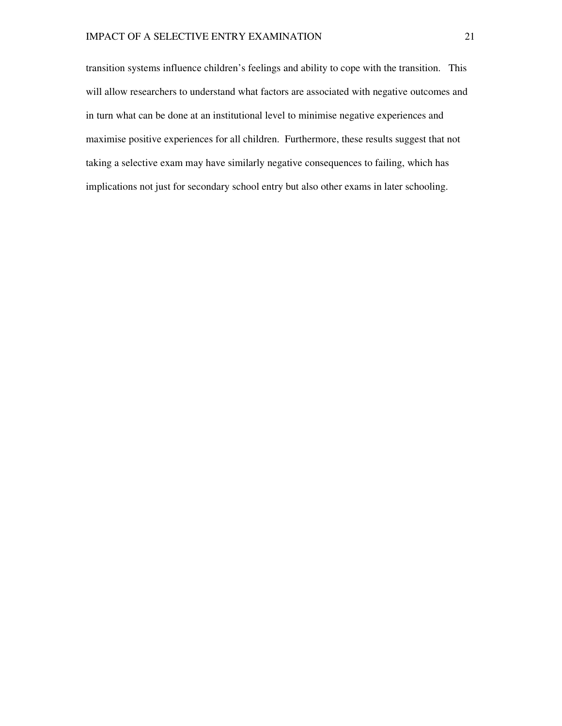transition systems influence children's feelings and ability to cope with the transition. This will allow researchers to understand what factors are associated with negative outcomes and in turn what can be done at an institutional level to minimise negative experiences and maximise positive experiences for all children. Furthermore, these results suggest that not taking a selective exam may have similarly negative consequences to failing, which has implications not just for secondary school entry but also other exams in later schooling.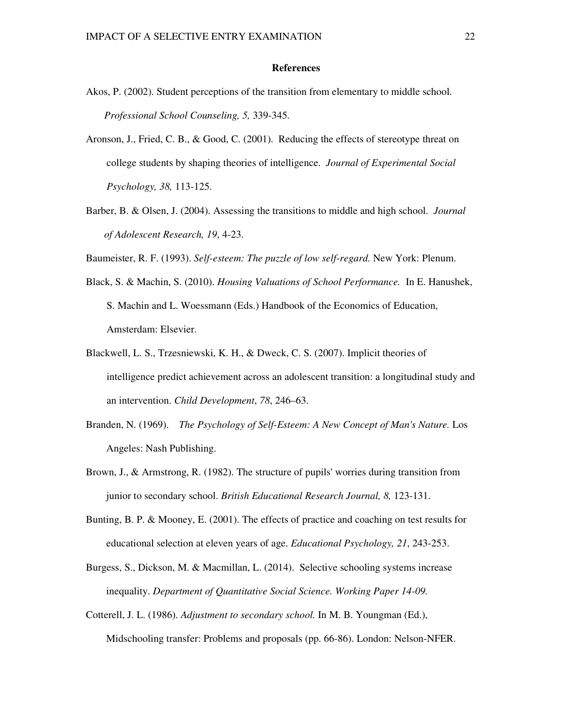#### **References**

- Akos, P. (2002). Student perceptions of the transition from elementary to middle school. *Professional School Counseling, 5,* 339-345.
- Aronson, J., Fried, C. B., & Good, C. (2001). Reducing the effects of stereotype threat on college students by shaping theories of intelligence. *Journal of Experimental Social Psychology, 38,* 113-125.
- Barber, B. & Olsen, J. (2004). Assessing the transitions to middle and high school. *Journal of Adolescent Research, 19*, 4-23.
- Baumeister, R. F. (1993). *Self-esteem: The puzzle of low self-regard.* New York: Plenum.
- Black, S. & Machin, S. (2010). *Housing Valuations of School Performance.* In E. Hanushek, S. Machin and L. Woessmann (Eds.) Handbook of the Economics of Education, Amsterdam: Elsevier.
- Blackwell, L. S., Trzesniewski, K. H., & Dweck, C. S. (2007). Implicit theories of intelligence predict achievement across an adolescent transition: a longitudinal study and an intervention. *Child Development*, *78*, 246–63.
- Branden, N. (1969). *The Psychology of Self-Esteem: A New Concept of Man's Nature.* Los Angeles: Nash Publishing.
- Brown, J., & Armstrong, R. (1982). The structure of pupils' worries during transition from junior to secondary school. *British Educational Research Journal, 8,* 123-131.
- Bunting, B. P. & Mooney, E. (2001). The effects of practice and coaching on test results for educational selection at eleven years of age. *Educational Psychology, 21*, 243-253.
- Burgess, S., Dickson, M. & Macmillan, L. (2014). Selective schooling systems increase inequality. *Department of Quantitative Social Science. Working Paper 14-09.*
- Cotterell, J. L. (1986). *Adjustment to secondary school.* In M. B. Youngman (Ed.), Midschooling transfer: Problems and proposals (pp. 66-86). London: Nelson-NFER.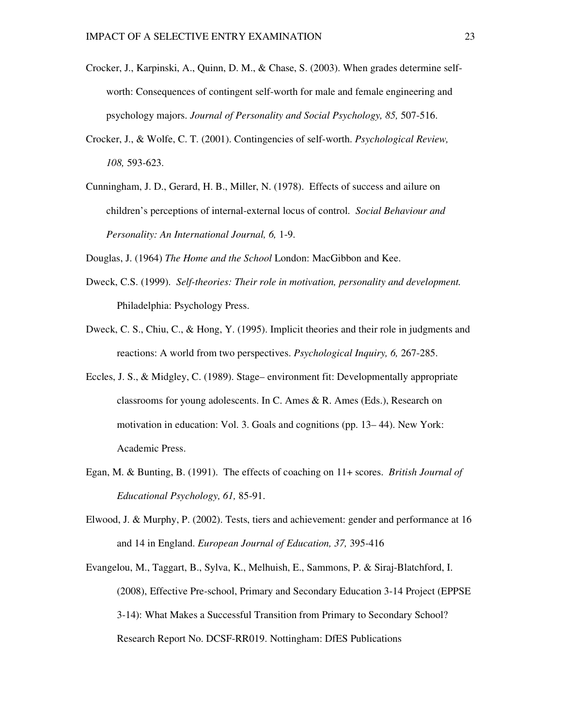- Crocker, J., Karpinski, A., Quinn, D. M., & Chase, S. (2003). When grades determine selfworth: Consequences of contingent self-worth for male and female engineering and psychology majors. *Journal of Personality and Social Psychology, 85,* 507-516.
- Crocker, J., & Wolfe, C. T. (2001). Contingencies of self-worth. *Psychological Review, 108,* 593-623.
- Cunningham, J. D., Gerard, H. B., Miller, N. (1978). Effects of success and ailure on children's perceptions of internal-external locus of control. *Social Behaviour and Personality: An International Journal, 6,* 1-9.

Douglas, J. (1964) *The Home and the School* London: MacGibbon and Kee.

- Dweck, C.S. (1999). *Self-theories: Their role in motivation, personality and development.*  Philadelphia: Psychology Press.
- Dweck, C. S., Chiu, C., & Hong, Y. (1995). Implicit theories and their role in judgments and reactions: A world from two perspectives. *Psychological Inquiry, 6,* 267-285.
- Eccles, J. S., & Midgley, C. (1989). Stage– environment fit: Developmentally appropriate classrooms for young adolescents. In C. Ames & R. Ames (Eds.), Research on motivation in education: Vol. 3. Goals and cognitions (pp. 13– 44). New York: Academic Press.
- Egan, M. & Bunting, B. (1991). The effects of coaching on 11+ scores. *British Journal of Educational Psychology, 61,* 85-91.
- Elwood, J. & Murphy, P. (2002). Tests, tiers and achievement: gender and performance at 16 and 14 in England. *European Journal of Education, 37,* 395-416

Evangelou, M., Taggart, B., Sylva, K., Melhuish, E., Sammons, P. & Siraj-Blatchford, I. (2008), Effective Pre-school, Primary and Secondary Education 3-14 Project (EPPSE 3-14): What Makes a Successful Transition from Primary to Secondary School? Research Report No. DCSF-RR019. Nottingham: DfES Publications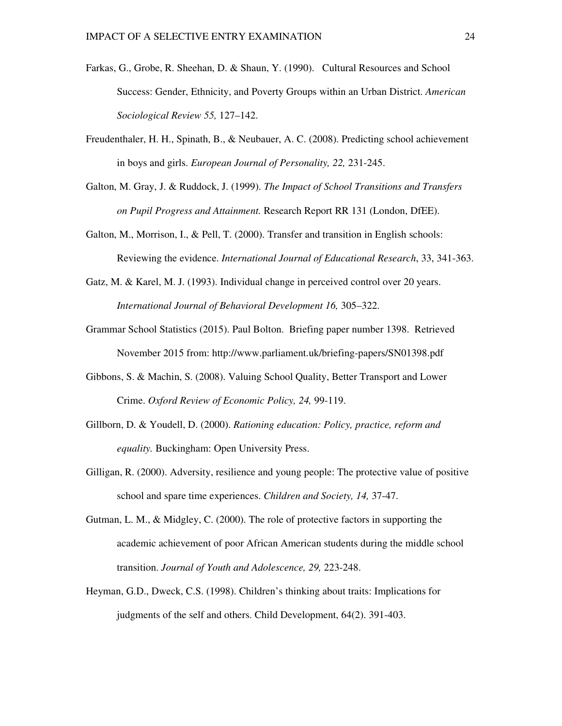- Farkas, G., Grobe, R. Sheehan, D. & Shaun, Y. (1990). Cultural Resources and School Success: Gender, Ethnicity, and Poverty Groups within an Urban District. *American Sociological Review 55,* 127–142.
- Freudenthaler, H. H., Spinath, B., & Neubauer, A. C. (2008). Predicting school achievement in boys and girls. *European Journal of Personality, 22,* 231-245.
- Galton, M. Gray, J. & Ruddock, J. (1999). *The Impact of School Transitions and Transfers on Pupil Progress and Attainment.* Research Report RR 131 (London, DfEE).
- Galton, M., Morrison, I., & Pell, T. (2000). Transfer and transition in English schools: Reviewing the evidence. *International Journal of Educational Research*, 33, 341-363.
- Gatz, M. & Karel, M. J. (1993). Individual change in perceived control over 20 years. *International Journal of Behavioral Development 16,* 305–322.
- Grammar School Statistics (2015). Paul Bolton. Briefing paper number 1398. Retrieved November 2015 from: http://www.parliament.uk/briefing-papers/SN01398.pdf
- Gibbons, S. & Machin, S. (2008). Valuing School Quality, Better Transport and Lower Crime. *Oxford Review of Economic Policy, 24,* 99-119.
- Gillborn, D. & Youdell, D. (2000). *Rationing education: Policy, practice, reform and equality.* Buckingham: Open University Press.
- Gilligan, R. (2000). Adversity, resilience and young people: The protective value of positive school and spare time experiences. *Children and Society, 14,* 37-47.
- Gutman, L. M., & Midgley, C. (2000). The role of protective factors in supporting the academic achievement of poor African American students during the middle school transition. *Journal of Youth and Adolescence, 29,* 223-248.
- Heyman, G.D., Dweck, C.S. (1998). Children's thinking about traits: Implications for judgments of the self and others. Child Development, 64(2). 391-403.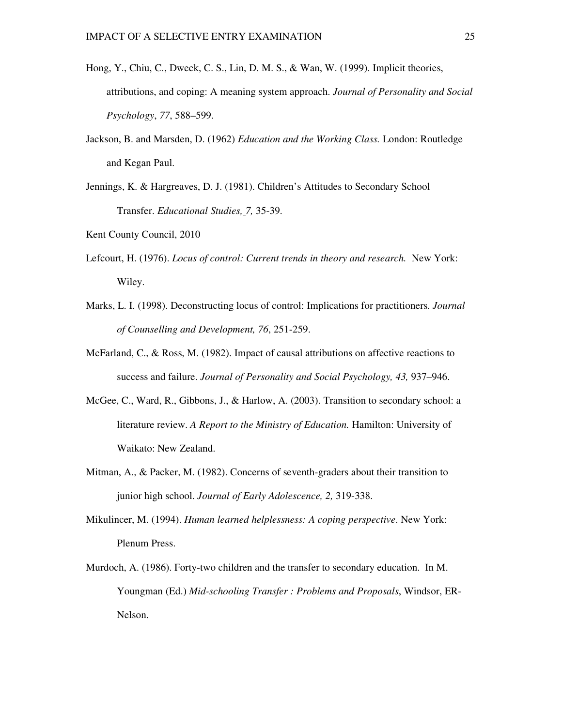- Hong, Y., Chiu, C., Dweck, C. S., Lin, D. M. S., & Wan, W. (1999). Implicit theories, attributions, and coping: A meaning system approach. *Journal of Personality and Social Psychology*, *77*, 588–599.
- Jackson, B. and Marsden, D. (1962) *Education and the Working Class.* London: Routledge and Kegan Paul.
- Jennings, K. & Hargreaves, D. J. (1981). Children's Attitudes to Secondary School Transfer. *Educational Studies, 7,* 35-39.

Kent County Council, 2010

- Lefcourt, H. (1976). *Locus of control: Current trends in theory and research.* New York: Wiley.
- Marks, L. I. (1998). Deconstructing locus of control: Implications for practitioners. *Journal of Counselling and Development, 76*, 251-259.
- McFarland, C., & Ross, M. (1982). Impact of causal attributions on affective reactions to success and failure. *Journal of Personality and Social Psychology, 43,* 937–946.
- McGee, C., Ward, R., Gibbons, J., & Harlow, A. (2003). Transition to secondary school: a literature review. *A Report to the Ministry of Education.* Hamilton: University of Waikato: New Zealand.
- Mitman, A., & Packer, M. (1982). Concerns of seventh-graders about their transition to junior high school. *Journal of Early Adolescence, 2,* 319-338.
- Mikulincer, M. (1994). *Human learned helplessness: A coping perspective*. New York: Plenum Press.
- Murdoch, A. (1986). Forty-two children and the transfer to secondary education. In M. Youngman (Ed.) *Mid-schooling Transfer : Problems and Proposals*, Windsor, ER-Nelson.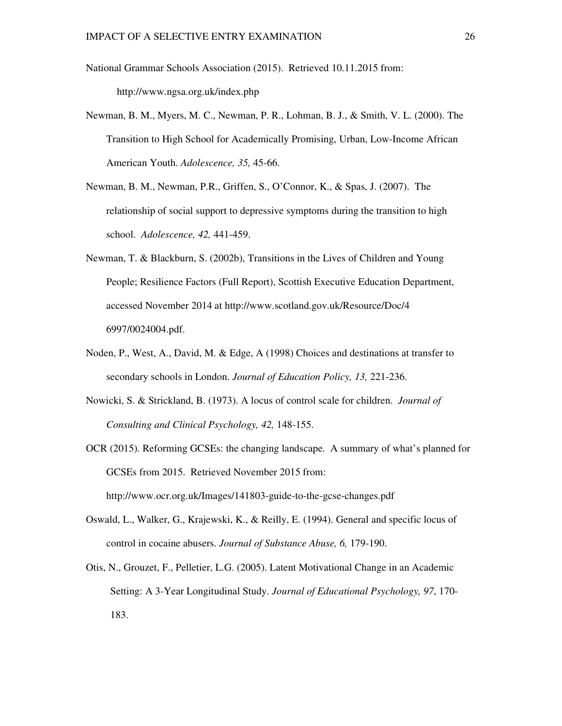- National Grammar Schools Association (2015). Retrieved 10.11.2015 from: http://www.ngsa.org.uk/index.php
- Newman, B. M., Myers, M. C., Newman, P. R., Lohman, B. J., & Smith, V. L. (2000). The Transition to High School for Academically Promising, Urban, Low-Income African American Youth. *Adolescence, 35,* 45-66.
- Newman, B. M., Newman, P.R., Griffen, S., O'Connor, K., & Spas, J. (2007). The relationship of social support to depressive symptoms during the transition to high school. *Adolescence, 42,* 441-459.
- Newman, T. & Blackburn, S. (2002b), Transitions in the Lives of Children and Young People; Resilience Factors (Full Report), Scottish Executive Education Department, accessed November 2014 at http://www.scotland.gov.uk/Resource/Doc/4 6997/0024004.pdf.
- Noden, P., West, A., David, M. & Edge, A (1998) Choices and destinations at transfer to secondary schools in London. *Journal of Education Policy, 13,* 221-236.
- Nowicki, S. & Strickland, B. (1973). A locus of control scale for children. *Journal of Consulting and Clinical Psychology, 42,* 148-155.
- OCR (2015). Reforming GCSEs: the changing landscape. A summary of what's planned for GCSEs from 2015. Retrieved November 2015 from: http://www.ocr.org.uk/Images/141803-guide-to-the-gcse-changes.pdf
- Oswald, L., Walker, G., Krajewski, K., & Reilly, E. (1994). General and specific locus of control in cocaine abusers. *Journal of Substance Abuse, 6,* 179-190.
- Otis, N., Grouzet, F., Pelletier, L.G. (2005). Latent Motivational Change in an Academic Setting: A 3-Year Longitudinal Study. *Journal of Educational Psychology, 97*, 170- 183.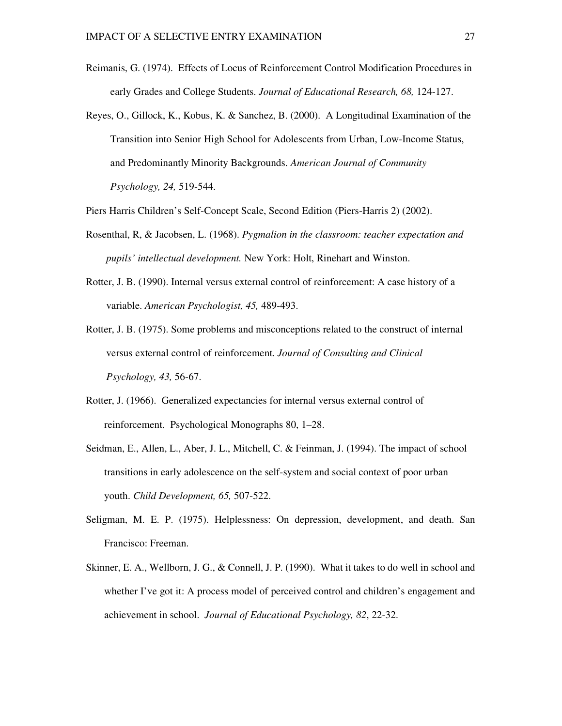- Reimanis, G. (1974). Effects of Locus of Reinforcement Control Modification Procedures in early Grades and College Students. *Journal of Educational Research, 68,* 124-127.
- Reyes, O., Gillock, K., Kobus, K. & Sanchez, B. (2000). A Longitudinal Examination of the Transition into Senior High School for Adolescents from Urban, Low-Income Status, and Predominantly Minority Backgrounds. *American Journal of Community Psychology, 24,* 519-544.
- Piers Harris Children's Self-Concept Scale, Second Edition (Piers-Harris 2) (2002).
- Rosenthal, R, & Jacobsen, L. (1968). *Pygmalion in the classroom: teacher expectation and pupils' intellectual development.* New York: Holt, Rinehart and Winston.
- Rotter, J. B. (1990). Internal versus external control of reinforcement: A case history of a variable. *American Psychologist, 45,* 489-493.
- Rotter, J. B. (1975). Some problems and misconceptions related to the construct of internal versus external control of reinforcement. *Journal of Consulting and Clinical Psychology, 43,* 56-67.
- Rotter, J. (1966). Generalized expectancies for internal versus external control of reinforcement. Psychological Monographs 80, 1–28.
- Seidman, E., Allen, L., Aber, J. L., Mitchell, C. & Feinman, J. (1994). The impact of school transitions in early adolescence on the self-system and social context of poor urban youth. *Child Development, 65,* 507-522.
- Seligman, M. E. P. (1975). Helplessness: On depression, development, and death. San Francisco: Freeman.
- Skinner, E. A., Wellborn, J. G., & Connell, J. P. (1990). What it takes to do well in school and whether I've got it: A process model of perceived control and children's engagement and achievement in school. *Journal of Educational Psychology, 82*, 22-32.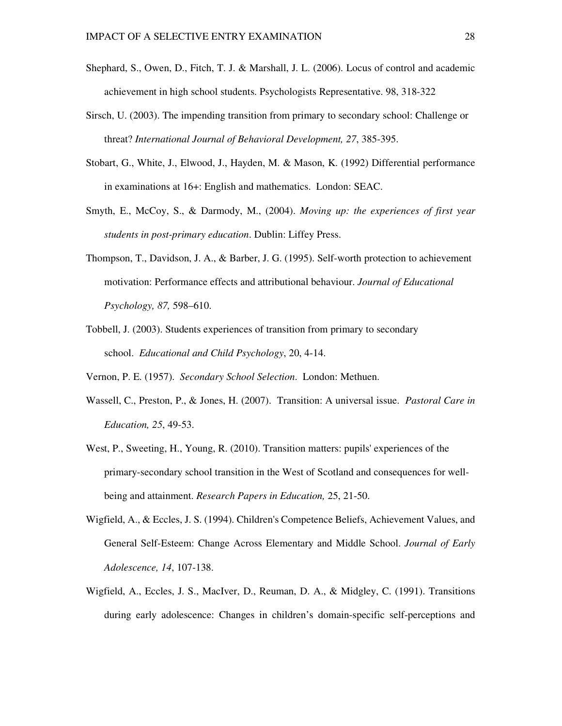- Shephard, S., Owen, D., Fitch, T. J. & Marshall, J. L. (2006). Locus of control and academic achievement in high school students. Psychologists Representative. 98, 318-322
- Sirsch, U. (2003). The impending transition from primary to secondary school: Challenge or threat? *International Journal of Behavioral Development, 27*, 385-395.
- Stobart, G., White, J., Elwood, J., Hayden, M. & Mason, K. (1992) Differential performance in examinations at 16+: English and mathematics. London: SEAC.
- Smyth, E., McCoy, S., & Darmody, M., (2004). *Moving up: the experiences of first year students in post-primary education*. Dublin: Liffey Press.
- Thompson, T., Davidson, J. A., & Barber, J. G. (1995). Self-worth protection to achievement motivation: Performance effects and attributional behaviour. *Journal of Educational Psychology, 87,* 598–610.
- Tobbell, J. (2003). Students experiences of transition from primary to secondary school. *Educational and Child Psychology*, 20, 4-14.

Vernon, P. E. (1957). *Secondary School Selection*. London: Methuen.

- Wassell, C., Preston, P., & Jones, H. (2007). Transition: A universal issue. *Pastoral Care in Education, 25*, 49-53.
- West, P., Sweeting, H., Young, R. (2010). Transition matters: pupils' experiences of the primary-secondary school transition in the West of Scotland and consequences for wellbeing and attainment. *Research Papers in Education,* 25, 21-50.
- Wigfield, A., & Eccles, J. S. (1994). Children's Competence Beliefs, Achievement Values, and General Self-Esteem: Change Across Elementary and Middle School. *Journal of Early Adolescence, 14*, 107-138.
- Wigfield, A., Eccles, J. S., MacIver, D., Reuman, D. A., & Midgley, C. (1991). Transitions during early adolescence: Changes in children's domain-specific self-perceptions and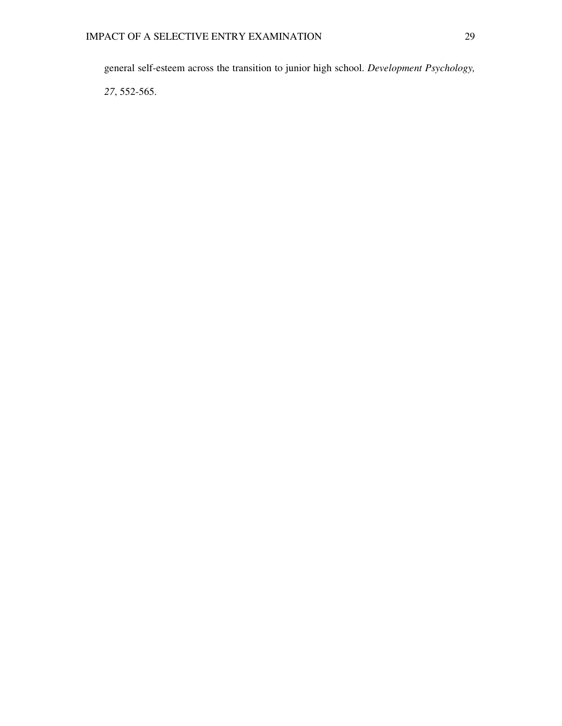general self-esteem across the transition to junior high school. *Development Psychology,* 

*27*, 552-565.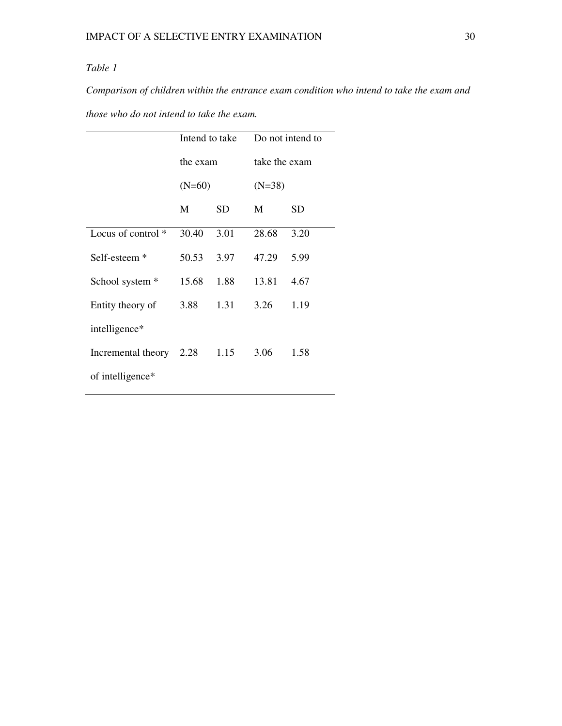#### *Table 1*

*Comparison of children within the entrance exam condition who intend to take the exam and* 

*those who do not intend to take the exam.* 

|                          | Intend to take |      | Do not intend to |           |  |
|--------------------------|----------------|------|------------------|-----------|--|
|                          | the exam       |      | take the exam    |           |  |
|                          | $(N=60)$       |      | $(N=38)$         |           |  |
|                          | M              | SD   | M                | <b>SD</b> |  |
| Locus of control $*$     | 30.40          | 3.01 | 28.68            | 3.20      |  |
| Self-esteem <sup>*</sup> | 50.53          | 3.97 | 47.29            | 5.99      |  |
| School system *          | 15.68          | 1.88 | 13.81            | 4.67      |  |
| Entity theory of         | 3.88           | 1.31 | 3.26             | 1.19      |  |
| intelligence*            |                |      |                  |           |  |
| Incremental theory       | 2.28           | 1.15 | 3.06             | 1.58      |  |
| of intelligence*         |                |      |                  |           |  |